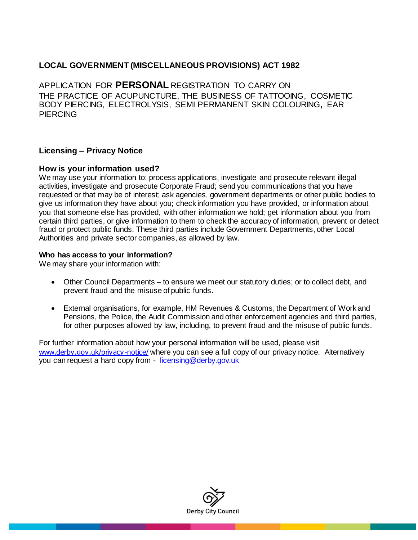## **LOCAL GOVERNMENT (MISCELLANEOUS PROVISIONS) ACT 1982**

APPLICATION FOR **PERSONAL** REGISTRATION TO CARRY ON THE PRACTICE OF ACUPUNCTURE, THE BUSINESS OF TATTOOING, COSMETIC BODY PIERCING, ELECTROLYSIS, SEMI PERMANENT SKIN COLOURING**,** EAR **PIERCING** 

## **Licensing – Privacy Notice**

## **How is your information used?**

We may use your information to: process applications, investigate and prosecute relevant illegal activities, investigate and prosecute Corporate Fraud; send you communications that you have requested or that may be of interest; ask agencies, government departments or other public bodies to give us information they have about you; check information you have provided, or information about you that someone else has provided, with other information we hold; get information about you from certain third parties, or give information to them to check the accuracy of information, prevent or detect fraud or protect public funds. These third parties include Government Departments, other Local Authorities and private sector companies, as allowed by law.

#### **Who has access to your information?**

We may share your information with:

- Other Council Departments to ensure we meet our statutory duties; or to collect debt, and prevent fraud and the misuse of public funds.
- External organisations, for example, HM Revenues & Customs, the Department of Work and Pensions, the Police, the Audit Commission and other enforcement agencies and third parties, for other purposes allowed by law, including, to prevent fraud and the misuse of public funds.

For further information about how your personal information will be used, please visit [www.derby.gov.uk/privacy-notice/](https://www.derby.gov.uk/privacy-notice/) where you can see a full copy of our privacy notice. Alternatively you can request a hard copy from - [licensing@derby.gov.uk](file:///C:/Users/WalkerA1/AppData/Local/Microsoft/Windows/Temporary%20Internet%20Files/Content.Outlook/YSSYGQI5/licensing@derby.gov.uk)

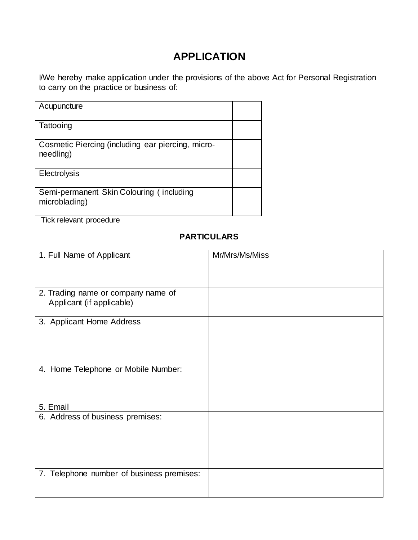# **APPLICATION**

I/We hereby make application under the provisions of the above Act for Personal Registration to carry on the practice or business of:

| Acupuncture                                                    |  |
|----------------------------------------------------------------|--|
| Tattooing                                                      |  |
| Cosmetic Piercing (including ear piercing, micro-<br>needling) |  |
| <b>Electrolysis</b>                                            |  |
| Semi-permanent Skin Colouring (including<br>microblading)      |  |

Tick relevant procedure

# **PARTICULARS**

| 1. Full Name of Applicant                                       | Mr/Mrs/Ms/Miss |
|-----------------------------------------------------------------|----------------|
|                                                                 |                |
| 2. Trading name or company name of<br>Applicant (if applicable) |                |
| 3. Applicant Home Address                                       |                |
| 4. Home Telephone or Mobile Number:                             |                |
| 5. Email                                                        |                |
| 6. Address of business premises:                                |                |
| 7. Telephone number of business premises:                       |                |